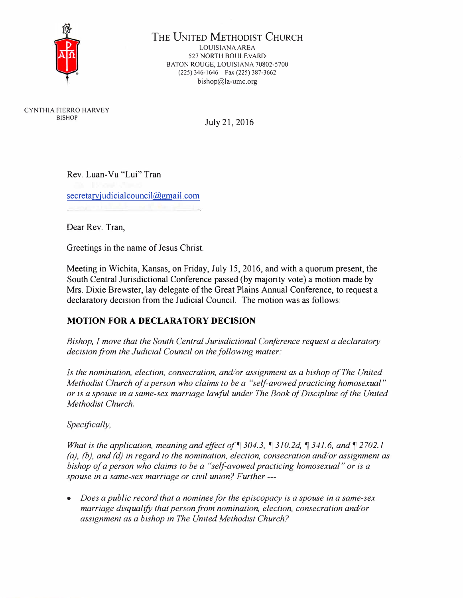

## THE UNITED METHODIST CHURCH

LOUISIANA AREA 527 NORTH BOULEVARD BATON ROUGE, LOUlSIANA 70802-5700 (225) 346-1646 Fax (225) 387-3662 bishop@la-umc.org

CYNTHIA FIERRO HARVEY **BISHOP** 

July 21, 2016

Rev. Luan-Vu "Lui" Tran

secretaryjudicialcouncil@gmail.com

Dear Rev. Tran,

Greetings in the name of Jesus Christ.

Meeting in Wichita, Kansas, on Friday, July 15, 2016, and with a quorum present, the South Central Jurisdictional Conference passed (by majority vote) a motion made by Mrs. Dixie Brewster, lay delegate of the Great Plains Annual Conference, to request a declaratory decision from the Judicial Council. The motion was as follows:

## **MOTION FOR A DECLARATORY DECISION**

*Bishop, I move that the South Central Jurisdictional Conference request a declaratory decision from the Judicial Council on the following matter:* 

*Is the nomination, election, consecration, and/or assignment as a bishop of The United Methodist Church of a person who claims to be a "self-avowed practicing homosexual" or is a spouse in a same-sex marriage lawful under The Book of Discipline of the United Methodist Church.* 

*Specifically,* 

*What is the application, meaning and effect of* 1304.3, 1310.2d, 1341.6, and 12702.1 *(a), (b), and (d) in regard to the nomination, election, consecration and/or assignment as bishop of a person who claims to be a "se(f-avowed practicing homosexual" or is a*  spouse in a same-sex marriage or civil union? Further ---

• *Does a public record that a nominee for the episcopacy is a spouse in a same-sex marriage disqualify that person from nomination, election, consecration and/or assignment as a bishop in The United Methodist Church?*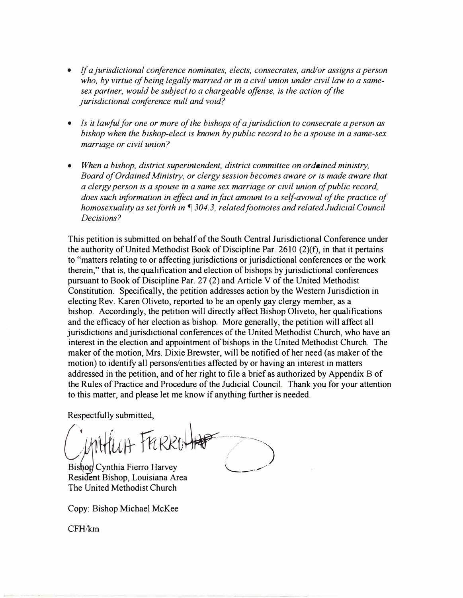- *If a jurisdictional conference nominates, elects, consecrates, and/or assigns a person who, by virtue of being legally married or in a civil union under civil law to a samesex partner, would be subject to a chargeable offense, is the action of the jurisdictional conference null and void?*
- *Is it lawful for one or more of the bishops of a jurisdiction to consecrate a person as bishop when the bishop-elect is known by public record to be a spouse in a same-sex marriage or civil union?*
- *When a bishop, district superintendent, district committee on ordained ministry, Board of Ordained Ministry, or clergy session becomes aware or is made aware that a clergy person is a spouse in a same sex marriage or civil union of public record, does such information in effect and in fact amount to a self-avowal of the practice of homosexuality as set forth in � 304. 3, related footnotes and related Judicial Council Decisions?*

This petition is submitted on behalf of the South Central Jurisdictional Conference under the authority of United Methodist Book of Discipline Par. 2610 (2)(f), in that it pertains to "matters relating to or affecting jurisdictions or jurisdictional conferences or the work therein," that is, the qualification and election of bishops by jurisdictional conferences pursuant to Book of Discipline Par. 27 (2) and Article V of the United Methodist Constitution. Specifically, the petition addresses action by the Western Jurisdiction in electing Rev. Karen Oliveto, reported to be an openly gay clergy member, as a bishop. Accordingly, the petition will directly affect Bishop Oliveto, her qualifications and the efficacy of her election as bishop. More generally, the petition will affect all jurisdictions and jurisdictional conferences of the United Methodist Church, who have an interest in the election and appointment of bishops in the United Methodist Church. The maker of the motion, Mrs. Dixie Brewster, will be notified of her need (as maker of the motion) to identify all persons/entities affected by or having an interest in matters addressed in the petition, and of her right to file a brief as authorized by Appendix B of the Rules of Practice and Procedure of the Judicial Council. Thank you for your attention to this matter, and please let me know if anything further is needed.

Respectfully submitted,

tu<del>n</del> Frekeo

Bishop Cynthia Fierro Harvey Resident Bishop, Louisiana Area The United Methodist Church

Copy: Bishop Michael McKee

CFH/km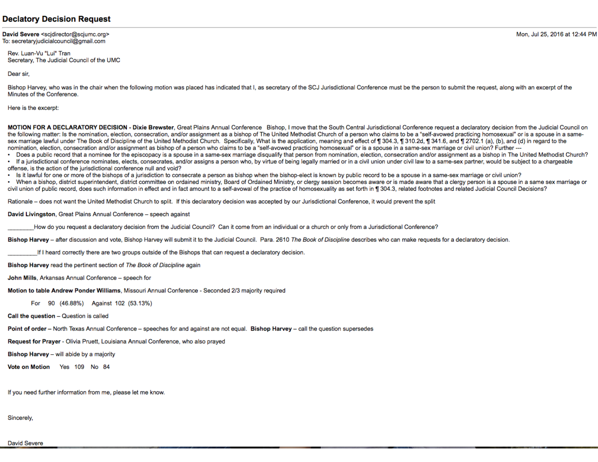## **Declatory Decision Request**

David Severe <scidirector@sciumc.org> To: secretaryjudicialcouncil@gmail.com

Rev. Luan-Vu "Lui" Tran Secretary. The Judicial Council of the UMC

Dear sir.

Bishop Harvey, who was in the chair when the following motion was placed has indicated that I, as secretary of the SCJ Jurisdictional Conference must be the person to submit the request, along with an excerpt of the Minutes of the Conference.

Here is the excerpt:

MOTION FOR A DECLARATORY DECISION - Dixie Brewster, Great Plains Annual Conference Bishop. I move that the South Central Jurisdictional Conference request a declaratory decision from the Judicial Council on the following matter: Is the nomination, election, consecration, and/or assignment as a bishop of The United Methodist Church of a person who claims to be a "self-avowed practicing homosexual" or is a spouse in a samesex marriage lawful under The Book of Discipline of the United Methodist Church. Specifically, What is the application, meaning and effect of ¶ 304.3, ¶ 310.2d, ¶ 341.6, and ¶ 2702.1 (a), (b), and (d) in regard to the nomination, election, consecration and/or assignment as bishop of a person who claims to be a "self-avowed practicing homosexual" or is a spouse in a same-sex marriage or civil union? Further ---

• Does a public record that a nominee for the episcopacy is a spouse in a same-sex marriage disqualify that person from nomination, election, consecration and/or assignment as a bishop in The United Methodist Church? If a jurisdictional conference nominates, elects, consecrates, and/or assigns a person who, by virtue of being legally married or in a civil union under civil law to a same-sex partner, would be subject to a chargeable offense, is the action of the jurisdictional conference null and void?

• Is it lawful for one or more of the bishops of a jurisdiction to consecrate a person as bishop when the bishop-elect is known by public record to be a spouse in a same-sex marriage or civil union?

• When a bishop, district superintendent, district committee on ordained ministry, Board of Ordained Ministry, or clergy session becomes aware or is made aware that a clergy person is a spouse in a same sex marriage or civil union of public record, does such information in effect and in fact amount to a self-avowal of the practice of homosexuality as set forth in ¶ 304.3, related footnotes and related Judicial Council Decisions?

Rationale - does not want the United Methodist Church to split. If this declaratory decision was accepted by our Jurisdictional Conference, it would prevent the split

David Livingston, Great Plains Annual Conference - speech against

How do you request a declaratory decision from the Judicial Council? Can it come from an individual or a church or only from a Jurisdictional Conference?

Bishop Harvey - after discussion and vote, Bishop Harvey will submit it to the Judicial Council. Para. 2610 The Book of Discipline describes who can make requests for a declaratory decision.

If I heard correctly there are two groups outside of the Bishops that can request a declaratory decision.

Bishop Harvey read the pertinent section of The Book of Discipline again

John Mills, Arkansas Annual Conference - speech for

Motion to table Andrew Ponder Williams, Missouri Annual Conference - Seconded 2/3 majority required

For 90 (46.88%) Against 102 (53.13%)

Call the question - Question is called

Point of order - North Texas Annual Conference - speeches for and against are not equal. Bishop Harvey - call the question supersedes

Request for Prayer - Olivia Pruett, Louisiana Annual Conference, who also prayed

Bishop Harvey - will abide by a majority

Vote on Motion Yes 109 No 84

If you need further information from me, please let me know.

Sincerely,

**David Severe**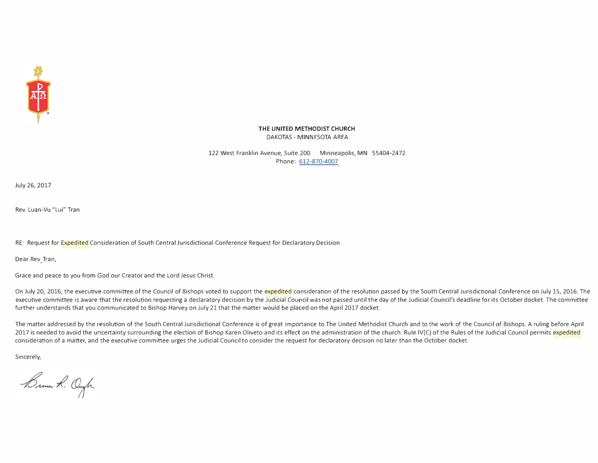

**THE UNITED METHODIST CHURCH**  DAKOTAS· MINNESOTA AREA

122 West Franklin Avenue, Suite 200 Minneapolis, MN 55404-2472 Phone: 612-870-4007

July 26, 2017

Rev. Luan-Vu "Lui" Tran

RE: Request for Expedited Consideration of South Central Jurisdictional Conference Request for Declaratory Decision

Dear Rev. Tran,

Grace and peace to you from God our Creator and the Lord Jesus Christ.

On July 20, 2016, the executive committee of the Council of Bishops voted to support the expedited consideration of the resolution passed by the South Central Jurisdictional Conference on July 15, 2016. The executive committee is aware that the resolution requesting a declaratory decision by the Judicial Council was not passed until the day of the Judicial Council's deadline for its October docket. The committee further understands that you communicated to Bishop Harvey on July 21 that the matter would be placed on the April 2017 docket.

The matter addressed by the resolution of the South Central Jurisdictional Conference is of great importance to The United Methodist Church and to the work of the Council of Bishops. A ruling before April 2017 is needed to avoid the uncertainty surrounding the election of Bishop Karen Oliveto and its effect on the administration of the church. Rule IV(C) of the Rules of the Judicial Council permits expedited consideration of a matter, and the executive committee urges the Judicial Council to consider the request for declaratory decision no later than the October docket.

Sincerely,

Brun R. Ough